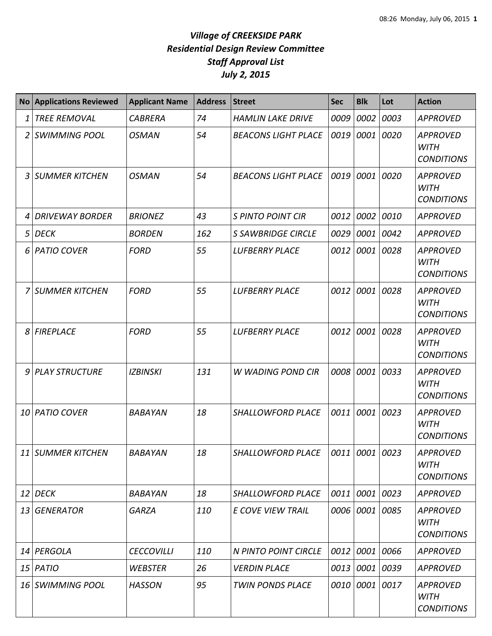| <b>No</b> | <b>Applications Reviewed</b> | <b>Applicant Name</b> | <b>Address</b> | <b>Street</b>              | <b>Sec</b>     | <b>Blk</b> | Lot       | <b>Action</b>                                       |
|-----------|------------------------------|-----------------------|----------------|----------------------------|----------------|------------|-----------|-----------------------------------------------------|
| 1         | <b>TREE REMOVAL</b>          | <b>CABRERA</b>        | 74             | <b>HAMLIN LAKE DRIVE</b>   | 0009           | 0002       | 0003      | <b>APPROVED</b>                                     |
| 2         | <b>SWIMMING POOL</b>         | <b>OSMAN</b>          | 54             | <b>BEACONS LIGHT PLACE</b> | 0019           |            | 0001 0020 | <b>APPROVED</b><br><b>WITH</b><br><b>CONDITIONS</b> |
| 3         | <b>SUMMER KITCHEN</b>        | <b>OSMAN</b>          | 54             | <b>BEACONS LIGHT PLACE</b> | 0019           | 0001       | 0020      | <b>APPROVED</b><br><b>WITH</b><br><b>CONDITIONS</b> |
|           | <b>DRIVEWAY BORDER</b>       | <b>BRIONEZ</b>        | 43             | <b>S PINTO POINT CIR</b>   | 0012           | 0002       | 0010      | <b>APPROVED</b>                                     |
| 5         | <b>DECK</b>                  | <b>BORDEN</b>         | 162            | <b>S SAWBRIDGE CIRCLE</b>  | 0029           | 0001 0042  |           | <b>APPROVED</b>                                     |
| 6         | <b>PATIO COVER</b>           | <b>FORD</b>           | 55             | <b>LUFBERRY PLACE</b>      | 0012           | 0001       | 0028      | <b>APPROVED</b><br><b>WITH</b><br><b>CONDITIONS</b> |
|           | SUMMER KITCHEN               | <b>FORD</b>           | 55             | <b>LUFBERRY PLACE</b>      | 0012           | 0001       | 0028      | <b>APPROVED</b><br><b>WITH</b><br><b>CONDITIONS</b> |
| 8         | <b>FIREPLACE</b>             | <b>FORD</b>           | 55             | <b>LUFBERRY PLACE</b>      | 0012           | 0001       | 0028      | <b>APPROVED</b><br><b>WITH</b><br><b>CONDITIONS</b> |
| 9         | <b>PLAY STRUCTURE</b>        | <b>IZBINSKI</b>       | 131            | W WADING POND CIR          | 0008           | 0001       | 0033      | <b>APPROVED</b><br><b>WITH</b><br><b>CONDITIONS</b> |
| 10        | <b>PATIO COVER</b>           | <b>BABAYAN</b>        | 18             | SHALLOWFORD PLACE          | 0011           | 0001       | 0023      | <b>APPROVED</b><br><b>WITH</b><br><b>CONDITIONS</b> |
|           | 11 SUMMER KITCHEN            | BABAYAN               | 18             | SHALLOWFORD PLACE          | 0011 0001 0023 |            |           | <b>APPROVED</b><br><b>WITH</b><br><b>CONDITIONS</b> |
|           | $12$ DECK                    | <b>BABAYAN</b>        | 18             | <b>SHALLOWFORD PLACE</b>   | 0011           | 0001 0023  |           | <b>APPROVED</b>                                     |
|           | 13 GENERATOR                 | <b>GARZA</b>          | 110            | <b>E COVE VIEW TRAIL</b>   | 0006           | 0001 0085  |           | <b>APPROVED</b><br><b>WITH</b><br><b>CONDITIONS</b> |
|           | 14 PERGOLA                   | <b>CECCOVILLI</b>     | 110            | N PINTO POINT CIRCLE       | 0012           | 0001 0066  |           | <b>APPROVED</b>                                     |
|           | $15$ PATIO                   | <b>WEBSTER</b>        | 26             | <b>VERDIN PLACE</b>        | 0013           | 0001 0039  |           | APPROVED                                            |
|           | 16 SWIMMING POOL             | <b>HASSON</b>         | 95             | <b>TWIN PONDS PLACE</b>    | 0010           | 0001 0017  |           | <b>APPROVED</b><br><b>WITH</b><br><b>CONDITIONS</b> |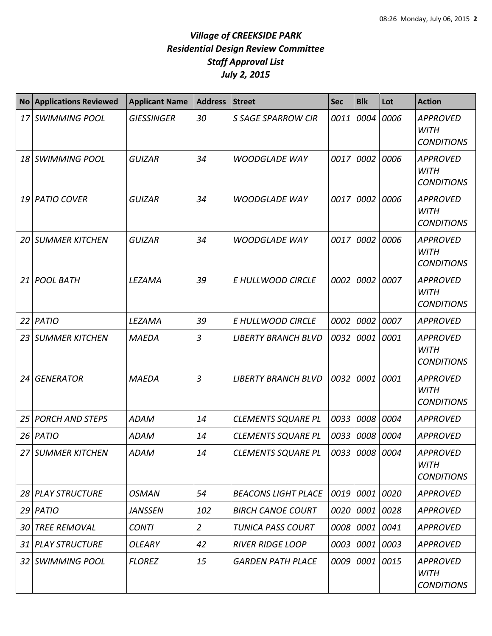| <b>No</b>       | <b>Applications Reviewed</b> | <b>Applicant Name</b> | <b>Address</b> | <b>Street</b>              | <b>Sec</b>     | <b>Blk</b>     | Lot  | <b>Action</b>                                       |
|-----------------|------------------------------|-----------------------|----------------|----------------------------|----------------|----------------|------|-----------------------------------------------------|
| 17              | <b>SWIMMING POOL</b>         | <b>GIESSINGER</b>     | 30             | <b>S SAGE SPARROW CIR</b>  | 0011           | 0004           | 0006 | <b>APPROVED</b><br><b>WITH</b><br><b>CONDITIONS</b> |
| 18              | <b>SWIMMING POOL</b>         | <b>GUIZAR</b>         | 34             | <b>WOODGLADE WAY</b>       | 0017           | 0002           | 0006 | <b>APPROVED</b><br><b>WITH</b><br><b>CONDITIONS</b> |
| 19              | <b>PATIO COVER</b>           | <b>GUIZAR</b>         | 34             | <b>WOODGLADE WAY</b>       | 0017           | 0002           | 0006 | <b>APPROVED</b><br><b>WITH</b><br><b>CONDITIONS</b> |
| 20              | <b>SUMMER KITCHEN</b>        | <b>GUIZAR</b>         | 34             | <b>WOODGLADE WAY</b>       | 0017           | 0002           | 0006 | <b>APPROVED</b><br><b>WITH</b><br><b>CONDITIONS</b> |
| 21 <sup>1</sup> | <b>POOL BATH</b>             | LEZAMA                | 39             | E HULLWOOD CIRCLE          | 0002           | 0002           | 0007 | <b>APPROVED</b><br><b>WITH</b><br><b>CONDITIONS</b> |
| 22              | PATIO                        | LEZAMA                | 39             | E HULLWOOD CIRCLE          | 0002           | 0002           | 0007 | <b>APPROVED</b>                                     |
| 23              | <b>SUMMER KITCHEN</b>        | <b>MAEDA</b>          | $\overline{3}$ | <b>LIBERTY BRANCH BLVD</b> | 0032           | 0001           | 0001 | <b>APPROVED</b><br><b>WITH</b><br><b>CONDITIONS</b> |
| 24              | <b>GENERATOR</b>             | <b>MAEDA</b>          | 3              | <b>LIBERTY BRANCH BLVD</b> | 0032           | 0001           | 0001 | <b>APPROVED</b><br><b>WITH</b><br><b>CONDITIONS</b> |
| 25              | <b>PORCH AND STEPS</b>       | <b>ADAM</b>           | 14             | <b>CLEMENTS SQUARE PL</b>  | 0033           | 0008           | 0004 | <b>APPROVED</b>                                     |
| 26              | <b>PATIO</b>                 | ADAM                  | 14             | <b>CLEMENTS SQUARE PL</b>  | 0033           | 0008           | 0004 | <b>APPROVED</b>                                     |
|                 | 27 SUMMER KITCHEN            | <b>ADAM</b>           | 14             | <b>CLEMENTS SQUARE PL</b>  | 0033 0008 0004 |                |      | <b>APPROVED</b><br><b>WITH</b><br><b>CONDITIONS</b> |
|                 | 28 PLAY STRUCTURE            | <b>OSMAN</b>          | 54             | <b>BEACONS LIGHT PLACE</b> |                | 0019 0001 0020 |      | <b>APPROVED</b>                                     |
| 29              | PATIO                        | <b>JANSSEN</b>        | 102            | <b>BIRCH CANOE COURT</b>   | 0020           | 0001 0028      |      | <b>APPROVED</b>                                     |
| 30              | <b>TREE REMOVAL</b>          | <b>CONTI</b>          | $\overline{2}$ | TUNICA PASS COURT          |                | 0008 0001 0041 |      | <b>APPROVED</b>                                     |
| 31              | <b>PLAY STRUCTURE</b>        | <b>OLEARY</b>         | 42             | <b>RIVER RIDGE LOOP</b>    | 0003           | 0001 0003      |      | <b>APPROVED</b>                                     |
| 32 I            | <b>SWIMMING POOL</b>         | <b>FLOREZ</b>         | 15             | <b>GARDEN PATH PLACE</b>   |                | 0009 0001      | 0015 | <b>APPROVED</b><br><b>WITH</b><br><b>CONDITIONS</b> |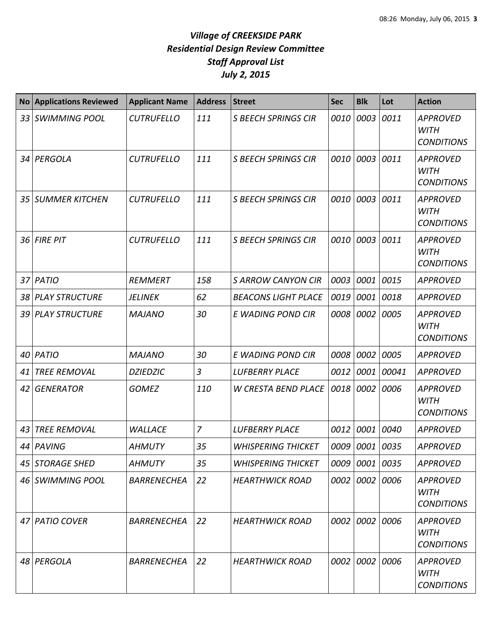| <b>No</b> | <b>Applications Reviewed</b> | <b>Applicant Name</b> | <b>Address</b> | <b>Street</b>              | <b>Sec</b> | <b>Blk</b> | Lot   | <b>Action</b>                                       |
|-----------|------------------------------|-----------------------|----------------|----------------------------|------------|------------|-------|-----------------------------------------------------|
| 33        | <b>SWIMMING POOL</b>         | <b>CUTRUFELLO</b>     | 111            | <b>S BEECH SPRINGS CIR</b> | 0010       | 0003       | 0011  | <b>APPROVED</b><br><b>WITH</b><br><b>CONDITIONS</b> |
| 34        | PERGOLA                      | <b>CUTRUFELLO</b>     | 111            | <b>S BEECH SPRINGS CIR</b> | 0010       | 0003       | 0011  | <b>APPROVED</b><br><b>WITH</b><br><b>CONDITIONS</b> |
| 35        | <b>SUMMER KITCHEN</b>        | <b>CUTRUFELLO</b>     | 111            | <b>S BEECH SPRINGS CIR</b> | 0010       | 0003       | 0011  | <b>APPROVED</b><br><b>WITH</b><br><b>CONDITIONS</b> |
| 36        | <b>FIRE PIT</b>              | <b>CUTRUFELLO</b>     | 111            | <b>S BEECH SPRINGS CIR</b> | 0010       | 0003       | 0011  | <b>APPROVED</b><br><b>WITH</b><br><b>CONDITIONS</b> |
| 37        | PATIO                        | REMMERT               | 158            | <b>S ARROW CANYON CIR</b>  | 0003       | 0001       | 0015  | <b>APPROVED</b>                                     |
| 38        | <b>PLAY STRUCTURE</b>        | <b>JELINEK</b>        | 62             | <b>BEACONS LIGHT PLACE</b> | 0019       | 0001       | 0018  | <b>APPROVED</b>                                     |
| 39        | <b>PLAY STRUCTURE</b>        | <b>MAJANO</b>         | 30             | E WADING POND CIR          | 0008       | 0002       | 0005  | <b>APPROVED</b><br><b>WITH</b><br><b>CONDITIONS</b> |
| 40        | PATIO                        | <b>MAJANO</b>         | 30             | E WADING POND CIR          | 0008       | 0002       | 0005  | <b>APPROVED</b>                                     |
| 41        | <b>TREE REMOVAL</b>          | <b>DZIEDZIC</b>       | 3              | <b>LUFBERRY PLACE</b>      | 0012       | 0001       | 00041 | <b>APPROVED</b>                                     |
| 42        | <b>GENERATOR</b>             | <b>GOMEZ</b>          | 110            | <b>W CRESTA BEND PLACE</b> | 0018       | 0002       | 0006  | <b>APPROVED</b><br><b>WITH</b><br><b>CONDITIONS</b> |
| 43        | <b>TREE REMOVAL</b>          | <b>WALLACE</b>        | $\overline{7}$ | <b>LUFBERRY PLACE</b>      | 0012       | 0001       | 0040  | <b>APPROVED</b>                                     |
| 44        | PAVING                       | <b>AHMUTY</b>         | 35             | <b>WHISPERING THICKET</b>  |            | 0009 0001  | 0035  | <b>APPROVED</b>                                     |
|           | 45 STORAGE SHED              | <b>AHMUTY</b>         | 35             | <b>WHISPERING THICKET</b>  |            | 0009 0001  | 0035  | <b>APPROVED</b>                                     |
|           | 46 SWIMMING POOL             | <b>BARRENECHEA</b>    | 22             | <b>HEARTHWICK ROAD</b>     |            | 0002 0002  | 0006  | <b>APPROVED</b><br><b>WITH</b><br><b>CONDITIONS</b> |
| 47        | <b>PATIO COVER</b>           | <b>BARRENECHEA</b>    | 22             | <b>HEARTHWICK ROAD</b>     |            | 0002 0002  | 0006  | <b>APPROVED</b><br><b>WITH</b><br><b>CONDITIONS</b> |
|           | 48 PERGOLA                   | <b>BARRENECHEA</b>    | 22             | <b>HEARTHWICK ROAD</b>     |            | 0002 0002  | 0006  | <b>APPROVED</b><br><b>WITH</b><br><b>CONDITIONS</b> |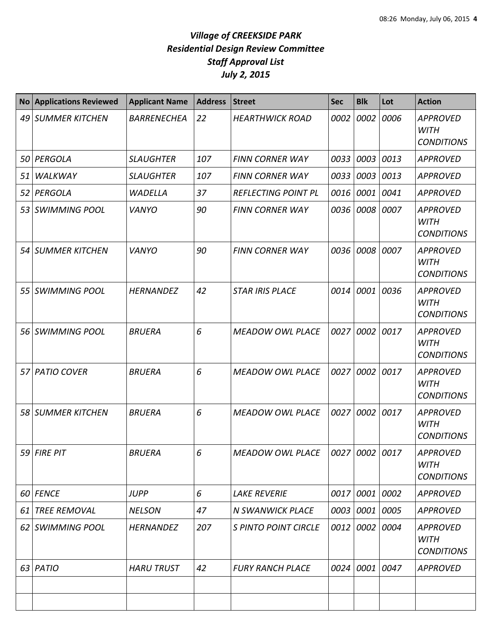| <b>No</b> | <b>Applications Reviewed</b> | <b>Applicant Name</b> | <b>Address</b> | <b>Street</b>              | <b>Sec</b>     | <b>Blk</b> | Lot  | <b>Action</b>                                       |
|-----------|------------------------------|-----------------------|----------------|----------------------------|----------------|------------|------|-----------------------------------------------------|
| 49        | <b>SUMMER KITCHEN</b>        | <b>BARRENECHEA</b>    | 22             | <b>HEARTHWICK ROAD</b>     | 0002           | 0002       | 0006 | <b>APPROVED</b><br><b>WITH</b><br><b>CONDITIONS</b> |
| 50        | PERGOLA                      | <b>SLAUGHTER</b>      | 107            | <b>FINN CORNER WAY</b>     | 0033           | 0003       | 0013 | <b>APPROVED</b>                                     |
| 51        | WALKWAY                      | <b>SLAUGHTER</b>      | 107            | <b>FINN CORNER WAY</b>     | 0033           | 0003       | 0013 | <b>APPROVED</b>                                     |
| 52        | PERGOLA                      | <b>WADELLA</b>        | 37             | <b>REFLECTING POINT PL</b> | 0016           | 0001       | 0041 | <b>APPROVED</b>                                     |
| 53        | <b>SWIMMING POOL</b>         | <b>VANYO</b>          | 90             | <b>FINN CORNER WAY</b>     |                | 0036 0008  | 0007 | <b>APPROVED</b><br><b>WITH</b><br><b>CONDITIONS</b> |
| 54        | <b>SUMMER KITCHEN</b>        | <b>VANYO</b>          | 90             | <b>FINN CORNER WAY</b>     | 0036           | 0008       | 0007 | <b>APPROVED</b><br><b>WITH</b><br><b>CONDITIONS</b> |
| 55        | <b>SWIMMING POOL</b>         | <b>HERNANDEZ</b>      | 42             | <b>STAR IRIS PLACE</b>     | 0014           | 0001       | 0036 | <b>APPROVED</b><br><b>WITH</b><br><b>CONDITIONS</b> |
|           | 56 SWIMMING POOL             | <b>BRUERA</b>         | 6              | <b>MEADOW OWL PLACE</b>    | 0027           | 0002       | 0017 | <b>APPROVED</b><br><b>WITH</b><br><b>CONDITIONS</b> |
| 57        | <b>PATIO COVER</b>           | <b>BRUERA</b>         | 6              | <b>MEADOW OWL PLACE</b>    | 0027           | 0002       | 0017 | <b>APPROVED</b><br><b>WITH</b><br><b>CONDITIONS</b> |
| 58        | <b>SUMMER KITCHEN</b>        | <b>BRUERA</b>         | 6              | <b>MEADOW OWL PLACE</b>    | 0027           | 0002       | 0017 | <b>APPROVED</b><br><b>WITH</b><br><b>CONDITIONS</b> |
|           | 59 FIRE PIT                  | <b>BRUERA</b>         | 6              | <b>MEADOW OWL PLACE</b>    | 0027 0002 0017 |            |      | <b>APPROVED</b><br><b>WITH</b><br><b>CONDITIONS</b> |
|           | 60 FENCE                     | <b>JUPP</b>           | 6              | <b>LAKE REVERIE</b>        |                | 0017 0001  | 0002 | <b>APPROVED</b>                                     |
| 61        | <b>TREE REMOVAL</b>          | <b>NELSON</b>         | 47             | <b>N SWANWICK PLACE</b>    |                | 0003 0001  | 0005 | <b>APPROVED</b>                                     |
| 62        | <b>SWIMMING POOL</b>         | <b>HERNANDEZ</b>      | 207            | S PINTO POINT CIRCLE       |                | 0012 0002  | 0004 | <b>APPROVED</b><br><b>WITH</b><br><b>CONDITIONS</b> |
|           | 63 PATIO                     | <b>HARU TRUST</b>     | 42             | <b>FURY RANCH PLACE</b>    |                | 0024 0001  | 0047 | <b>APPROVED</b>                                     |
|           |                              |                       |                |                            |                |            |      |                                                     |
|           |                              |                       |                |                            |                |            |      |                                                     |